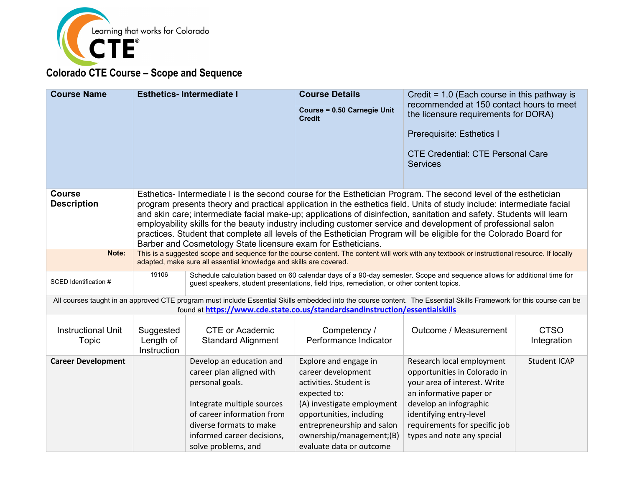

| <b>Course Name</b>                  | <b>Esthetics-Intermediate I</b>                                                                                                                                                                                                                                                                                                                                                                                                                                                                                                                                                                                                                                         |                                                                                                                                                                                                                              | <b>Course Details</b><br>Course = 0.50 Carnegie Unit<br><b>Credit</b>                                                                                                                                                                 | Credit = $1.0$ (Each course in this pathway is<br>recommended at 150 contact hours to meet<br>the licensure requirements for DORA)<br>Prerequisite: Esthetics I<br><b>CTE Credential: CTE Personal Care</b><br><b>Services</b>           |                            |
|-------------------------------------|-------------------------------------------------------------------------------------------------------------------------------------------------------------------------------------------------------------------------------------------------------------------------------------------------------------------------------------------------------------------------------------------------------------------------------------------------------------------------------------------------------------------------------------------------------------------------------------------------------------------------------------------------------------------------|------------------------------------------------------------------------------------------------------------------------------------------------------------------------------------------------------------------------------|---------------------------------------------------------------------------------------------------------------------------------------------------------------------------------------------------------------------------------------|------------------------------------------------------------------------------------------------------------------------------------------------------------------------------------------------------------------------------------------|----------------------------|
| <b>Course</b><br><b>Description</b> | Esthetics-Intermediate I is the second course for the Esthetician Program. The second level of the esthetician<br>program presents theory and practical application in the esthetics field. Units of study include: intermediate facial<br>and skin care; intermediate facial make-up; applications of disinfection, sanitation and safety. Students will learn<br>employability skills for the beauty industry including customer service and development of professional salon<br>practices. Student that complete all levels of the Esthetician Program will be eligible for the Colorado Board for<br>Barber and Cosmetology State licensure exam for Estheticians. |                                                                                                                                                                                                                              |                                                                                                                                                                                                                                       |                                                                                                                                                                                                                                          |                            |
| Note:                               |                                                                                                                                                                                                                                                                                                                                                                                                                                                                                                                                                                                                                                                                         | This is a suggested scope and sequence for the course content. The content will work with any textbook or instructional resource. If locally<br>adapted, make sure all essential knowledge and skills are covered.           |                                                                                                                                                                                                                                       |                                                                                                                                                                                                                                          |                            |
| SCED Identification #               |                                                                                                                                                                                                                                                                                                                                                                                                                                                                                                                                                                                                                                                                         | 19106<br>Schedule calculation based on 60 calendar days of a 90-day semester. Scope and sequence allows for additional time for<br>guest speakers, student presentations, field trips, remediation, or other content topics. |                                                                                                                                                                                                                                       |                                                                                                                                                                                                                                          |                            |
|                                     |                                                                                                                                                                                                                                                                                                                                                                                                                                                                                                                                                                                                                                                                         | found at https://www.cde.state.co.us/standardsandinstruction/essentialskills                                                                                                                                                 |                                                                                                                                                                                                                                       | All courses taught in an approved CTE program must include Essential Skills embedded into the course content. The Essential Skills Framework for this course can be                                                                      |                            |
| <b>Instructional Unit</b><br>Topic  | Suggested<br>Length of<br>Instruction                                                                                                                                                                                                                                                                                                                                                                                                                                                                                                                                                                                                                                   | <b>CTE or Academic</b><br><b>Standard Alignment</b>                                                                                                                                                                          | Competency /<br>Performance Indicator                                                                                                                                                                                                 | Outcome / Measurement                                                                                                                                                                                                                    | <b>CTSO</b><br>Integration |
| <b>Career Development</b>           |                                                                                                                                                                                                                                                                                                                                                                                                                                                                                                                                                                                                                                                                         | Develop an education and<br>career plan aligned with<br>personal goals.<br>Integrate multiple sources<br>of career information from<br>diverse formats to make<br>informed career decisions,<br>solve problems, and          | Explore and engage in<br>career development<br>activities. Student is<br>expected to:<br>(A) investigate employment<br>opportunities, including<br>entrepreneurship and salon<br>ownership/management;(B)<br>evaluate data or outcome | Research local employment<br>opportunities in Colorado in<br>your area of interest. Write<br>an informative paper or<br>develop an infographic<br>identifying entry-level<br>requirements for specific job<br>types and note any special | <b>Student ICAP</b>        |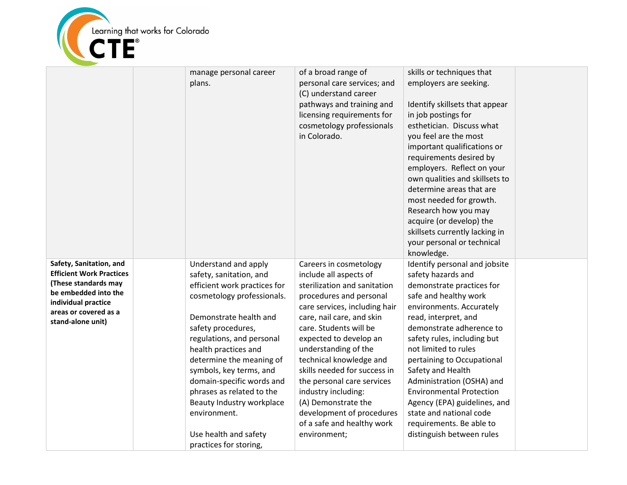

|                                                                                                                                                                                 | manage personal career<br>plans.                                                                                                                                                                                                                                                                                                                                                                                                    | of a broad range of<br>personal care services; and<br>(C) understand career<br>pathways and training and<br>licensing requirements for<br>cosmetology professionals<br>in Colorado.                                                                                                                                                                                                                                                                                     | skills or techniques that<br>employers are seeking.<br>Identify skillsets that appear<br>in job postings for<br>esthetician. Discuss what<br>you feel are the most<br>important qualifications or<br>requirements desired by<br>employers. Reflect on your<br>own qualities and skillsets to<br>determine areas that are<br>most needed for growth.<br>Research how you may<br>acquire (or develop) the<br>skillsets currently lacking in<br>your personal or technical<br>knowledge.   |  |
|---------------------------------------------------------------------------------------------------------------------------------------------------------------------------------|-------------------------------------------------------------------------------------------------------------------------------------------------------------------------------------------------------------------------------------------------------------------------------------------------------------------------------------------------------------------------------------------------------------------------------------|-------------------------------------------------------------------------------------------------------------------------------------------------------------------------------------------------------------------------------------------------------------------------------------------------------------------------------------------------------------------------------------------------------------------------------------------------------------------------|-----------------------------------------------------------------------------------------------------------------------------------------------------------------------------------------------------------------------------------------------------------------------------------------------------------------------------------------------------------------------------------------------------------------------------------------------------------------------------------------|--|
| Safety, Sanitation, and<br><b>Efficient Work Practices</b><br>(These standards may<br>be embedded into the<br>individual practice<br>areas or covered as a<br>stand-alone unit) | Understand and apply<br>safety, sanitation, and<br>efficient work practices for<br>cosmetology professionals.<br>Demonstrate health and<br>safety procedures,<br>regulations, and personal<br>health practices and<br>determine the meaning of<br>symbols, key terms, and<br>domain-specific words and<br>phrases as related to the<br>Beauty Industry workplace<br>environment.<br>Use health and safety<br>practices for storing, | Careers in cosmetology<br>include all aspects of<br>sterilization and sanitation<br>procedures and personal<br>care services, including hair<br>care, nail care, and skin<br>care. Students will be<br>expected to develop an<br>understanding of the<br>technical knowledge and<br>skills needed for success in<br>the personal care services<br>industry including:<br>(A) Demonstrate the<br>development of procedures<br>of a safe and healthy work<br>environment; | Identify personal and jobsite<br>safety hazards and<br>demonstrate practices for<br>safe and healthy work<br>environments. Accurately<br>read, interpret, and<br>demonstrate adherence to<br>safety rules, including but<br>not limited to rules<br>pertaining to Occupational<br>Safety and Health<br>Administration (OSHA) and<br><b>Environmental Protection</b><br>Agency (EPA) guidelines, and<br>state and national code<br>requirements. Be able to<br>distinguish between rules |  |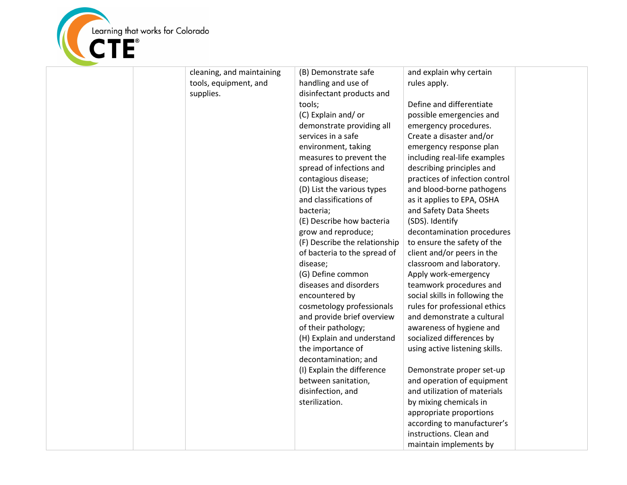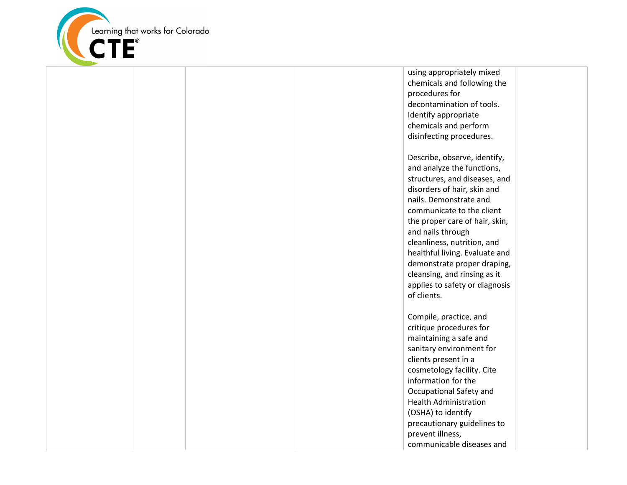

using appropriately mixed chemicals and following the procedures for decontamination of tools. Identify appropriate chemicals and perform disinfecting procedures. Describe, observe, identify, and analyze the functions, structures, and diseases, and disorders of hair, skin and nails. Demonstrate and communicate to the client the proper care of hair, skin, and nails through cleanliness, nutrition, and healthful living. Evaluate and demonstrate proper draping, cleansing, and rinsing as it applies to safety or diagnosis of clients. Compile, practice, and critique procedures for maintaining a safe and sanitary environment for clients present in a cosmetology facility. Cite information for the

Occupational Safety and Health Administration (OSHA) to identify precautionary guidelines to prevent illness, communicable diseases and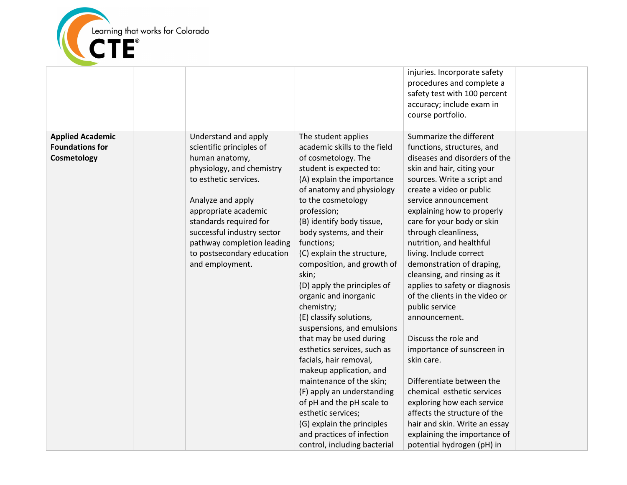

|                                                                  |                                                                                                                                                                                                                                                                                                              |                                                                                                                                                                                                                                                                                                                                                                                                                                                                                                                                                                                                                                                                                                                                                                                                         | injuries. Incorporate safety<br>procedures and complete a<br>safety test with 100 percent<br>accuracy; include exam in<br>course portfolio.                                                                                                                                                                                                                                                                                                                                                                                                                                                                                                                                                                                                                                                                        |  |
|------------------------------------------------------------------|--------------------------------------------------------------------------------------------------------------------------------------------------------------------------------------------------------------------------------------------------------------------------------------------------------------|---------------------------------------------------------------------------------------------------------------------------------------------------------------------------------------------------------------------------------------------------------------------------------------------------------------------------------------------------------------------------------------------------------------------------------------------------------------------------------------------------------------------------------------------------------------------------------------------------------------------------------------------------------------------------------------------------------------------------------------------------------------------------------------------------------|--------------------------------------------------------------------------------------------------------------------------------------------------------------------------------------------------------------------------------------------------------------------------------------------------------------------------------------------------------------------------------------------------------------------------------------------------------------------------------------------------------------------------------------------------------------------------------------------------------------------------------------------------------------------------------------------------------------------------------------------------------------------------------------------------------------------|--|
| <b>Applied Academic</b><br><b>Foundations for</b><br>Cosmetology | Understand and apply<br>scientific principles of<br>human anatomy,<br>physiology, and chemistry<br>to esthetic services.<br>Analyze and apply<br>appropriate academic<br>standards required for<br>successful industry sector<br>pathway completion leading<br>to postsecondary education<br>and employment. | The student applies<br>academic skills to the field<br>of cosmetology. The<br>student is expected to:<br>(A) explain the importance<br>of anatomy and physiology<br>to the cosmetology<br>profession;<br>(B) identify body tissue,<br>body systems, and their<br>functions;<br>(C) explain the structure,<br>composition, and growth of<br>skin;<br>(D) apply the principles of<br>organic and inorganic<br>chemistry;<br>(E) classify solutions,<br>suspensions, and emulsions<br>that may be used during<br>esthetics services, such as<br>facials, hair removal,<br>makeup application, and<br>maintenance of the skin;<br>(F) apply an understanding<br>of pH and the pH scale to<br>esthetic services;<br>(G) explain the principles<br>and practices of infection<br>control, including bacterial | Summarize the different<br>functions, structures, and<br>diseases and disorders of the<br>skin and hair, citing your<br>sources. Write a script and<br>create a video or public<br>service announcement<br>explaining how to properly<br>care for your body or skin<br>through cleanliness,<br>nutrition, and healthful<br>living. Include correct<br>demonstration of draping,<br>cleansing, and rinsing as it<br>applies to safety or diagnosis<br>of the clients in the video or<br>public service<br>announcement.<br>Discuss the role and<br>importance of sunscreen in<br>skin care.<br>Differentiate between the<br>chemical esthetic services<br>exploring how each service<br>affects the structure of the<br>hair and skin. Write an essay<br>explaining the importance of<br>potential hydrogen (pH) in |  |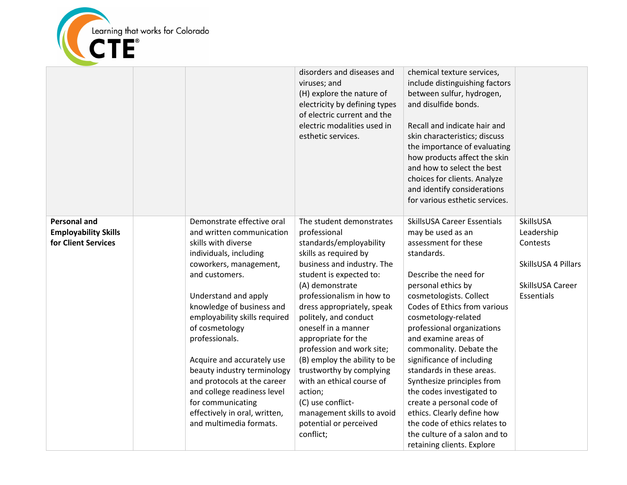

|                                                                           |                                                                                                                                                                                                                                                                                                                                                                                                                                                                                            | disorders and diseases and<br>viruses; and<br>(H) explore the nature of<br>electricity by defining types<br>of electric current and the<br>electric modalities used in<br>esthetic services.                                                                                                                                                                                                                                                                                                                                          | chemical texture services,<br>include distinguishing factors<br>between sulfur, hydrogen,<br>and disulfide bonds.<br>Recall and indicate hair and<br>skin characteristics; discuss<br>the importance of evaluating<br>how products affect the skin<br>and how to select the best<br>choices for clients. Analyze<br>and identify considerations<br>for various esthetic services.                                                                                                                                                                                                               |                                                                                              |
|---------------------------------------------------------------------------|--------------------------------------------------------------------------------------------------------------------------------------------------------------------------------------------------------------------------------------------------------------------------------------------------------------------------------------------------------------------------------------------------------------------------------------------------------------------------------------------|---------------------------------------------------------------------------------------------------------------------------------------------------------------------------------------------------------------------------------------------------------------------------------------------------------------------------------------------------------------------------------------------------------------------------------------------------------------------------------------------------------------------------------------|-------------------------------------------------------------------------------------------------------------------------------------------------------------------------------------------------------------------------------------------------------------------------------------------------------------------------------------------------------------------------------------------------------------------------------------------------------------------------------------------------------------------------------------------------------------------------------------------------|----------------------------------------------------------------------------------------------|
| <b>Personal and</b><br><b>Employability Skills</b><br>for Client Services | Demonstrate effective oral<br>and written communication<br>skills with diverse<br>individuals, including<br>coworkers, management,<br>and customers.<br>Understand and apply<br>knowledge of business and<br>employability skills required<br>of cosmetology<br>professionals.<br>Acquire and accurately use<br>beauty industry terminology<br>and protocols at the career<br>and college readiness level<br>for communicating<br>effectively in oral, written,<br>and multimedia formats. | The student demonstrates<br>professional<br>standards/employability<br>skills as required by<br>business and industry. The<br>student is expected to:<br>(A) demonstrate<br>professionalism in how to<br>dress appropriately, speak<br>politely, and conduct<br>oneself in a manner<br>appropriate for the<br>profession and work site;<br>(B) employ the ability to be<br>trustworthy by complying<br>with an ethical course of<br>action;<br>(C) use conflict-<br>management skills to avoid<br>potential or perceived<br>conflict; | <b>SkillsUSA Career Essentials</b><br>may be used as an<br>assessment for these<br>standards.<br>Describe the need for<br>personal ethics by<br>cosmetologists. Collect<br>Codes of Ethics from various<br>cosmetology-related<br>professional organizations<br>and examine areas of<br>commonality. Debate the<br>significance of including<br>standards in these areas.<br>Synthesize principles from<br>the codes investigated to<br>create a personal code of<br>ethics. Clearly define how<br>the code of ethics relates to<br>the culture of a salon and to<br>retaining clients. Explore | SkillsUSA<br>Leadership<br>Contests<br>SkillsUSA 4 Pillars<br>SkillsUSA Career<br>Essentials |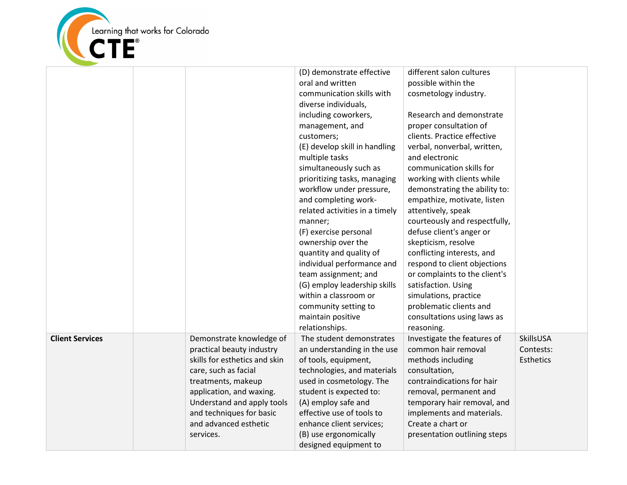

|                        |                                                                                                                                                                                                                                                                  | (D) demonstrate effective<br>oral and written<br>communication skills with<br>diverse individuals,<br>including coworkers,<br>management, and<br>customers;<br>(E) develop skill in handling<br>multiple tasks<br>simultaneously such as<br>prioritizing tasks, managing<br>workflow under pressure,<br>and completing work-<br>related activities in a timely<br>manner;<br>(F) exercise personal<br>ownership over the<br>quantity and quality of<br>individual performance and<br>team assignment; and<br>(G) employ leadership skills<br>within a classroom or<br>community setting to<br>maintain positive<br>relationships. | different salon cultures<br>possible within the<br>cosmetology industry.<br>Research and demonstrate<br>proper consultation of<br>clients. Practice effective<br>verbal, nonverbal, written,<br>and electronic<br>communication skills for<br>working with clients while<br>demonstrating the ability to:<br>empathize, motivate, listen<br>attentively, speak<br>courteously and respectfully,<br>defuse client's anger or<br>skepticism, resolve<br>conflicting interests, and<br>respond to client objections<br>or complaints to the client's<br>satisfaction. Using<br>simulations, practice<br>problematic clients and<br>consultations using laws as<br>reasoning. |                                     |
|------------------------|------------------------------------------------------------------------------------------------------------------------------------------------------------------------------------------------------------------------------------------------------------------|-----------------------------------------------------------------------------------------------------------------------------------------------------------------------------------------------------------------------------------------------------------------------------------------------------------------------------------------------------------------------------------------------------------------------------------------------------------------------------------------------------------------------------------------------------------------------------------------------------------------------------------|---------------------------------------------------------------------------------------------------------------------------------------------------------------------------------------------------------------------------------------------------------------------------------------------------------------------------------------------------------------------------------------------------------------------------------------------------------------------------------------------------------------------------------------------------------------------------------------------------------------------------------------------------------------------------|-------------------------------------|
| <b>Client Services</b> | Demonstrate knowledge of<br>practical beauty industry<br>skills for esthetics and skin<br>care, such as facial<br>treatments, makeup<br>application, and waxing.<br>Understand and apply tools<br>and techniques for basic<br>and advanced esthetic<br>services. | The student demonstrates<br>an understanding in the use<br>of tools, equipment,<br>technologies, and materials<br>used in cosmetology. The<br>student is expected to:<br>(A) employ safe and<br>effective use of tools to<br>enhance client services;<br>(B) use ergonomically<br>designed equipment to                                                                                                                                                                                                                                                                                                                           | Investigate the features of<br>common hair removal<br>methods including<br>consultation,<br>contraindications for hair<br>removal, permanent and<br>temporary hair removal, and<br>implements and materials.<br>Create a chart or<br>presentation outlining steps                                                                                                                                                                                                                                                                                                                                                                                                         | SkillsUSA<br>Contests:<br>Esthetics |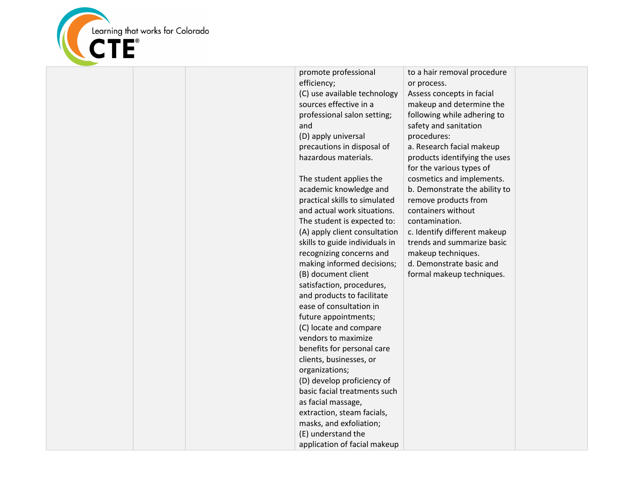

| promote professional           | to a hair removal procedure   |  |
|--------------------------------|-------------------------------|--|
| efficiency;                    | or process.                   |  |
| (C) use available technology   | Assess concepts in facial     |  |
| sources effective in a         | makeup and determine the      |  |
| professional salon setting;    | following while adhering to   |  |
| and                            | safety and sanitation         |  |
| (D) apply universal            | procedures:                   |  |
| precautions in disposal of     | a. Research facial makeup     |  |
| hazardous materials.           | products identifying the uses |  |
|                                | for the various types of      |  |
| The student applies the        | cosmetics and implements.     |  |
| academic knowledge and         | b. Demonstrate the ability to |  |
| practical skills to simulated  | remove products from          |  |
| and actual work situations.    | containers without            |  |
| The student is expected to:    | contamination.                |  |
| (A) apply client consultation  | c. Identify different makeup  |  |
| skills to guide individuals in | trends and summarize basic    |  |
| recognizing concerns and       | makeup techniques.            |  |
| making informed decisions;     | d. Demonstrate basic and      |  |
| (B) document client            | formal makeup techniques.     |  |
| satisfaction, procedures,      |                               |  |
| and products to facilitate     |                               |  |
| ease of consultation in        |                               |  |
| future appointments;           |                               |  |
| (C) locate and compare         |                               |  |
| vendors to maximize            |                               |  |
| benefits for personal care     |                               |  |
| clients, businesses, or        |                               |  |
| organizations;                 |                               |  |
| (D) develop proficiency of     |                               |  |
| basic facial treatments such   |                               |  |
| as facial massage,             |                               |  |
| extraction, steam facials,     |                               |  |
| masks, and exfoliation;        |                               |  |
| (E) understand the             |                               |  |
| application of facial makeup   |                               |  |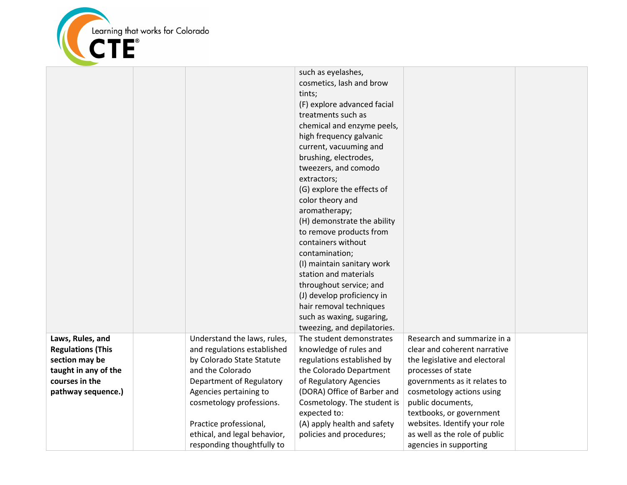

|                                                                                                          |                                                                                                                                            | such as eyelashes,<br>cosmetics, lash and brow<br>tints;<br>(F) explore advanced facial<br>treatments such as<br>chemical and enzyme peels,<br>high frequency galvanic<br>current, vacuuming and<br>brushing, electrodes,<br>tweezers, and comodo<br>extractors;<br>(G) explore the effects of<br>color theory and<br>aromatherapy;<br>(H) demonstrate the ability<br>to remove products from<br>containers without<br>contamination;<br>(I) maintain sanitary work<br>station and materials<br>throughout service; and<br>(J) develop proficiency in<br>hair removal techniques<br>such as waxing, sugaring,<br>tweezing, and depilatories. |                                                                                                                                                                       |  |
|----------------------------------------------------------------------------------------------------------|--------------------------------------------------------------------------------------------------------------------------------------------|----------------------------------------------------------------------------------------------------------------------------------------------------------------------------------------------------------------------------------------------------------------------------------------------------------------------------------------------------------------------------------------------------------------------------------------------------------------------------------------------------------------------------------------------------------------------------------------------------------------------------------------------|-----------------------------------------------------------------------------------------------------------------------------------------------------------------------|--|
| Laws, Rules, and<br><b>Regulations (This</b><br>section may be<br>taught in any of the<br>courses in the | Understand the laws, rules,<br>and regulations established<br>by Colorado State Statute<br>and the Colorado<br>Department of Regulatory    | The student demonstrates<br>knowledge of rules and<br>regulations established by<br>the Colorado Department<br>of Regulatory Agencies                                                                                                                                                                                                                                                                                                                                                                                                                                                                                                        | Research and summarize in a<br>clear and coherent narrative<br>the legislative and electoral<br>processes of state<br>governments as it relates to                    |  |
| pathway sequence.)                                                                                       | Agencies pertaining to<br>cosmetology professions.<br>Practice professional,<br>ethical, and legal behavior,<br>responding thoughtfully to | (DORA) Office of Barber and<br>Cosmetology. The student is<br>expected to:<br>(A) apply health and safety<br>policies and procedures;                                                                                                                                                                                                                                                                                                                                                                                                                                                                                                        | cosmetology actions using<br>public documents,<br>textbooks, or government<br>websites. Identify your role<br>as well as the role of public<br>agencies in supporting |  |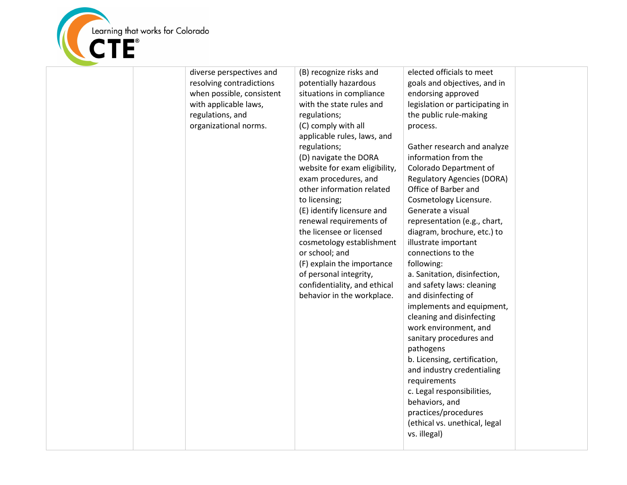

| diverse perspectives and<br>resolving contradictions<br>when possible, consistent<br>with applicable laws,<br>regulations, and<br>organizational norms. | (B) recognize risks and<br>potentially hazardous<br>situations in compliance<br>with the state rules and<br>regulations;<br>(C) comply with all<br>applicable rules, laws, and<br>regulations;<br>(D) navigate the DORA<br>website for exam eligibility,<br>exam procedures, and<br>other information related<br>to licensing;<br>(E) identify licensure and<br>renewal requirements of<br>the licensee or licensed<br>cosmetology establishment<br>or school; and<br>(F) explain the importance<br>of personal integrity,<br>confidentiality, and ethical<br>behavior in the workplace. | elected officials to meet<br>goals and objectives, and in<br>endorsing approved<br>legislation or participating in<br>the public rule-making<br>process.<br>Gather research and analyze<br>information from the<br>Colorado Department of<br><b>Regulatory Agencies (DORA)</b><br>Office of Barber and<br>Cosmetology Licensure.<br>Generate a visual<br>representation (e.g., chart,<br>diagram, brochure, etc.) to<br>illustrate important<br>connections to the<br>following:<br>a. Sanitation, disinfection,<br>and safety laws: cleaning<br>and disinfecting of<br>implements and equipment,<br>cleaning and disinfecting<br>work environment, and<br>sanitary procedures and<br>pathogens<br>b. Licensing, certification,<br>and industry credentialing<br>requirements<br>c. Legal responsibilities,<br>behaviors, and<br>practices/procedures<br>(ethical vs. unethical, legal<br>vs. illegal) |  |
|---------------------------------------------------------------------------------------------------------------------------------------------------------|------------------------------------------------------------------------------------------------------------------------------------------------------------------------------------------------------------------------------------------------------------------------------------------------------------------------------------------------------------------------------------------------------------------------------------------------------------------------------------------------------------------------------------------------------------------------------------------|--------------------------------------------------------------------------------------------------------------------------------------------------------------------------------------------------------------------------------------------------------------------------------------------------------------------------------------------------------------------------------------------------------------------------------------------------------------------------------------------------------------------------------------------------------------------------------------------------------------------------------------------------------------------------------------------------------------------------------------------------------------------------------------------------------------------------------------------------------------------------------------------------------|--|